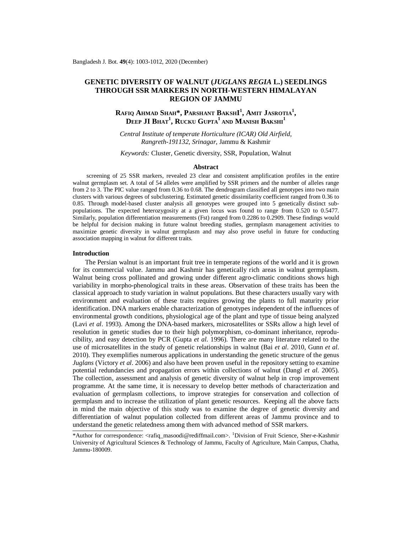# **GENETIC DIVERSITY OF WALNUT (***JUGLANS REGIA* **L.) SEEDLINGS THROUGH SSR MARKERS IN NORTH-WESTERN HIMALAYAN REGION OF JAMMU**

# **RAFIQ AHMAD SHAH\*, PARSHANT BAKSHI 1 , AMIT JASROTIA<sup>1</sup> ,**   $\mathbf{D}\mathbf{E}\mathbf{E}\mathbf{P}$   $\mathbf{J}\mathbf{I}$   $\mathbf{B}\mathbf{H}\mathbf{A}\mathbf{T}^1$ ,  $\mathbf{R}\mathbf{U}\mathbf{C}\mathbf{K}\mathbf{U}$   $\mathbf{G}\mathbf{U}\mathbf{P}\mathbf{T}\mathbf{A}^1$  and  $\mathbf{M}\mathbf{A}\mathbf{N}\mathbf{I}\mathbf{S}\mathbf{H}$   $\mathbf{B}\mathbf{A}\mathbf{K}\mathbf{S}\mathbf{H}\mathbf{I}^1$

*Central Institute of temperate Horticulture (ICAR) Old Airfield, Rangreth-191132, Srinagar,* Jammu & Kashmir

*Keywords:* Cluster, Genetic diversity, SSR, Population, Walnut

# **Abstract**

screening of 25 SSR markers, revealed 23 clear and consistent amplification profiles in the entire walnut germplasm set. A total of 54 alleles were amplified by SSR primers and the number of alleles range from 2 to 3. The PIC value ranged from 0.36 to 0.68. The dendrogram classified all genotypes into two main clusters with various degrees of subclustering. Estimated genetic dissimilarity coefficient ranged from 0.36 to 0.85. Through model-based cluster analysis all genotypes were grouped into 5 genetically distinct subpopulations. The expected heterozygosity at a given locus was found to range from 0.520 to 0.5477. Similarly, population differentiation measurements (Fst) ranged from 0.2286 to 0.2909. These findings would be helpful for decision making in future walnut breeding studies, germplasm management activities to maximize genetic diversity in walnut germplasm and may also prove useful in future for conducting association mapping in walnut for different traits.

#### **Introduction**

The Persian walnut is an important fruit tree in temperate regions of the world and it is grown for its commercial value. Jammu and Kashmir has genetically rich areas in walnut germplasm. Walnut being cross pollinated and growing under different agro-climatic conditions shows high variability in morpho-phenological traits in these areas. Observation of these traits has been the classical approach to study variation in walnut populations. But these characters usually vary with environment and evaluation of these traits requires growing the plants to full maturity prior identification. DNA markers enable characterization of genotypes independent of the influences of environmental growth conditions, physiological age of the plant and type of tissue being analyzed (Lavi *et al*. 1993). Among the DNA-based markers, microsatellites or SSRs allow a high level of resolution in genetic studies due to their high polymorphism, co-dominant inheritance, reproducibility, and easy detection by PCR (Gupta *et al*. 1996). There are many literature related to the use of microsatellites in the study of genetic relationships in walnut (Bai *et al*. 2010, Gunn *et al*. 2010). They exemplifies numerous applications in understanding the genetic structure of the genus *Juglans* (Victory *et al*. 2006) and also have been proven useful in the repository setting to examine potential redundancies and propagation errors within collections of walnut (Dangl *et al*. 2005). The collection, assessment and analysis of genetic diversity of walnut help in crop improvement programme. At the same time, it is necessary to develop better methods of characterization and evaluation of germplasm collections, to improve strategies for conservation and collection of germplasm and to increase the utilization of plant genetic resources. Keeping all the above facts in mind the main objective of this study was to examine the degree of genetic diversity and differentiation of walnut population collected from different areas of Jammu province and to understand the genetic relatedness among them with advanced method of SSR markers.

<sup>\*</sup>Author for correspondence: [<rafiq\\_masoodi@rediffmail.com>](mailto:rafiq_masoodi@rediffmail.com). <sup>1</sup>Division of Fruit Science, Sher-e-Kashmir University of Agricultural Sciences & Technology of Jammu, Faculty of Agriculture, Main Campus, Chatha, Jammu-180009.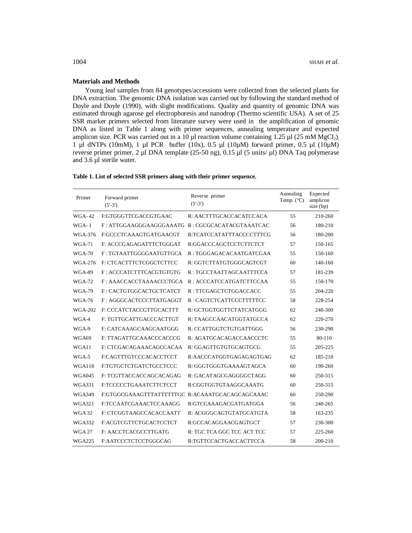### **Materials and Methods**

Young leaf samples from 84 genotypes/accessions were collected from the selected plants for DNA extraction. The genomic DNA isolation was carried out by following the standard method of Doyle and Doyle (1990), with slight modifications. Quality and quantity of genomic DNA was estimated through agarose gel electrophoresis and nanodrop (Thermo scientific USA). A set of 25 SSR marker primers selected from literature survey were used in the amplification of genomic DNA as listed in Table 1 along with primer sequences, annealing temperature and expected amplicon size. PCR was carried out in a 10  $\mu$ l reaction volume containing 1.25  $\mu$ l (25 mM MgCl<sub>2</sub>), 1 µl dNTPs (10mM), 1 µl PCR buffer (10x), 0.5 µl (10µM) forward primer, 0.5 µl (10µM) reverse primer primer, 2 µl DNA template (25-50 ng), 0.15 µl (5 units/ µl) DNA Taq polymerase and 3.6 µl sterile water.

| Primer         | Forward primer<br>$(5'-3')$                     | Reverse primer<br>$(5'-3')$ | Annealing<br>Temp. $(^{\circ}C)$ | Expected<br>amplicon<br>$size$ (bp) |
|----------------|-------------------------------------------------|-----------------------------|----------------------------------|-------------------------------------|
| WGA-42         | F:GTGGGTTCGACCGTGAAC                            | R: AACTTTGCACCACATCCACA     | 55                               | 210-260                             |
| $WGA-1$        | F: ATTGGAAGGGAAGGGAAATG R: CGCGCACATACGTAAATCAC |                             | 56                               | 180-210                             |
| WGA-376        | F:GCCCTCAAAGTGATGAACGT                          | R:TCATCCATATTTACCCCTTTCG    | 56                               | 180-200                             |
| <b>WGA-71</b>  | F: ACCCGAGAGATTTCTGGGAT                         | R:GGACCCAGCTCCTCTTCTCT      | 57                               | 150-165                             |
| $WGA-70$       | F: TGTAATTGGGGAATGTTGCA                         | R: TGGGAGACACAATGATCGAA     | 55                               | 150-160                             |
| <b>WGA-276</b> | F: CTCACTTTCTCGGCTCTTCC                         | R: GGTCTTATGTGGGCAGTCGT     | 60                               | 140-160                             |
| <b>WGA-89</b>  | F: ACCCATCTTTCACGTGTGTG                         | R : TGCCTAATTAGCAATTTCCA    | 57                               | 181-239                             |
| <b>WGA-72</b>  | F: AAACCACCTAAAACCCTGCA                         | R: ACCCATCCATGATCTTCCAA     | 55                               | 150-170                             |
| <b>WGA-79</b>  | F: CACTGTGGCACTGCTCATCT                         | R: TTCGAGCTCTGGACCACC       | 55                               | 204-220                             |
| <b>WGA-76</b>  | F: AGGGCACTCCCTTATGAGGT                         | R: CAGTCTCATTCCCTTTTTCC     | 58                               | 228-254                             |
| <b>WGA-202</b> | F: CCCATCTACCGTTGCACTTT                         | R: GCTGGTGGTTCTATCATGGG     | 62                               | 240-300                             |
| WGA-4          | F: TGTTGCATTGACCCACTTGT                         | R: TAAGCCAACATGGTATGCCA     | 62                               | 220-270                             |
| WGA-9          | F: CATCAAAGCAAGCAATGGG                          | R: CCATTGGTCTGTGATTGGG      | 56                               | 230-290                             |
| WGA69          | F: TTAGATTGCAAACCCACCCG                         | R: AGATGCACAGACCAACCCTC     | 55                               | 80-110                              |
| WGA11          | F: CTCGACAGAAACAGCCACAA                         | R: GGAGTTGTGTGCAGTGCG       | 55                               | 205-225                             |
| WGA-5          | F:CAGTTTGTCCCACACCTCCT                          | R:AACCCATGGTGAGAGAGTGAG     | 62                               | 185-210                             |
| <b>WGA118</b>  | F:TGTGCTCTGATCTGCCTCCC                          | R: GGGTGGGTGAAAAGTAGCA      | 60                               | 190-260                             |
| <b>WGA045</b>  | F: TCGTTACCACCAGCACAGAG                         | R: GACATAGCGAGGGGCTAGG      | 60                               | 250-315                             |
| <b>WGA331</b>  | F:TCCCCCTGAAATCTTCTCCT                          | R:CGGTGGTGTAAGGCAAATG       | 60                               | 250-315                             |
| <b>WGA349</b>  | F:GTGGCGAAAGTTTATTTTTTGC R:ACAAATGCACAGCAGCAAAC |                             | 60                               | 250-290                             |
| <b>WGA321</b>  | F:TCCAATCGAAACTCCAAAGG                          | R:GTCCAAAGACGATGATGGA       | 56                               | 240-265                             |
| <b>WGA 32</b>  | F: CTCGGTAAGCCACACCAATT                         | R: ACGGGCAGTGTATGCATGTA     | 58                               | 163-235                             |
| WGA332         | F:ACGTCGTTCTGCACTCCTCT                          | R:GCCACAGGAACGAGTGCT        | 57                               | 230-300                             |
| <b>WGA 27</b>  | F: AACCTCACGCCTTGATG                            | R: TGC TCA GGC TCC ACT TCC  | 57                               | 225-260                             |
| <b>WGA225</b>  | F:AATCCCTCTCCTGGGCAG                            | R:TGTTCCACTGACCACTTCCA      | 58                               | 200-210                             |

### **Table 1. List of selected SSR primers along with their primer sequence.**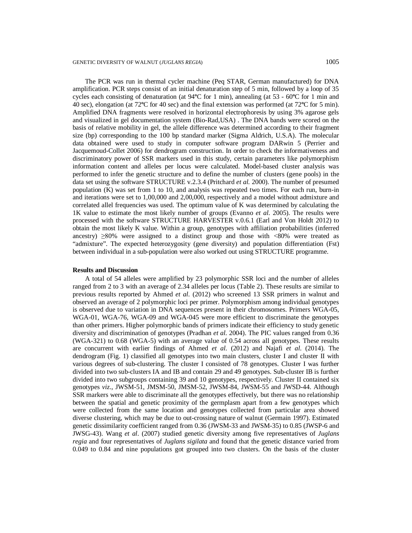The PCR was run in thermal cycler machine (Peq STAR, German manufactured) for DNA amplification. PCR steps consist of an initial denaturation step of 5 min, followed by a loop of 35 cycles each consisting of denaturation (at 94**º**C for 1 min), annealing (at 53 - 60**º**C for 1 min and 40 sec), elongation (at 72**º**C for 40 sec) and the final extension was performed (at 72**º**C for 5 min). Amplified DNA fragments were resolved in horizontal electrophoresis by using 3% agarose gels and visualized in gel documentation system (Bio-Rad,USA) . The DNA bands were scored on the basis of relative mobility in gel, the allele difference was determined according to their fragment size (bp) corresponding to the 100 bp standard marker (Sigma Aldrich, U.S.A). The molecular data obtained were used to study in computer software program DARwin 5 (Perrier and Jacquemoud-Collet 2006) for dendrogram construction. In order to check the informativeness and discriminatory power of SSR markers used in this study, certain parameters like polymorphism information content and alleles per locus were calculated. Model-based cluster analysis was performed to infer the genetic structure and to define the number of clusters (gene pools) in the data set using the software STRUCTURE v.2.3.4 (Pritchard *et al.* 2000). The number of presumed population (K) was set from 1 to 10, and analysis was repeated two times. For each run, burn-in and iterations were set to 1,00,000 and 2,00,000, respectively and a model without admixture and correlated allel frequencies was used. The optimum value of K was determined by calculating the 1K value to estimate the most likely number of groups (Evanno *et al*. 2005). The results were processed with the software STRUCTURE HARVESTER v.0.6.1 (Earl and Von Holdt 2012) to obtain the most likely K value. Within a group, genotypes with affiliation probabilities (inferred ancestry)  $\geq 80\%$  were assigned to a distinct group and those with  $\lt 80\%$  were treated as "admixture". The expected heterozygosity (gene diversity) and population differentiation (Fst) between individual in a sub-population were also worked out using STRUCTURE programme.

#### **Results and Discussion**

A total of 54 alleles were amplified by 23 polymorphic SSR loci and the number of alleles ranged from 2 to 3 with an average of 2.34 alleles per locus (Table 2). These results are similar to previous results reported by Ahmed *et al*. (2012) who screened 13 SSR primers in walnut and observed an average of 2 polymorphic loci per primer. Polymorphism among individual genotypes is observed due to variation in DNA sequences present in their chromosomes. Primers WGA-05, WGA-01, WGA-76, WGA-09 and WGA-045 were more efficient to discriminate the genotypes than other primers. Higher polymorphic bands of primers indicate their efficiency to study genetic diversity and discrimination of genotypes (Pradhan *et al*. 2004). The PIC values ranged from 0.36 (WGA-321) to 0.68 (WGA-5) with an average value of 0.54 across all genotypes. These results are concurrent with earlier findings of Ahmed *et al*. (2012) and Najafi *et al*. (2014). The dendrogram (Fig. 1) classified all genotypes into two main clusters, cluster I and cluster II with various degrees of sub-clustering. The cluster I consisted of 78 genotypes. Cluster I was further divided into two sub-clusters IA and IB and contain 29 and 49 genotypes. Sub-cluster IB is further divided into two subgroups containing 39 and 10 genotypes, respectively. Cluster II contained six genotypes *viz*., JWSM-51, JMSM-50, JMSM-52, JWSM-84, JWSM-55 and JWSD-44. Although SSR markers were able to discriminate all the genotypes effectively, but there was no relationship between the spatial and genetic proximity of the germplasm apart from a few genotypes which were collected from the same location and genotypes collected from particular area showed diverse clustering, which may be due to out-crossing nature of walnut (Germain 1997). Estimated genetic dissimilarity coefficient ranged from 0.36 (JWSM-33 and JWSM-35) to 0.85 (JWSP-6 and JWSG-43). Wang *et al*. (2007) studied genetic diversity among five representatives of *Juglans regia* and four representatives of *Juglans sigilata* and found that the genetic distance varied from 0.049 to 0.84 and nine populations got grouped into two clusters. On the basis of the cluster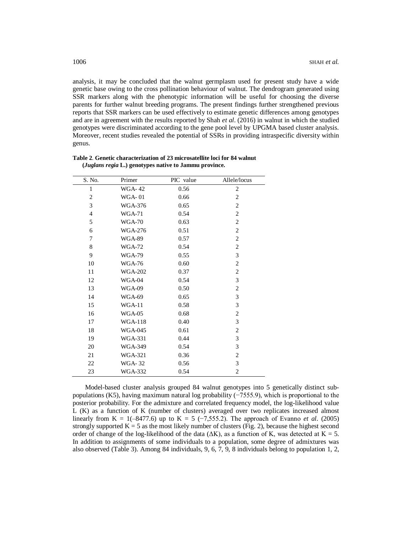analysis, it may be concluded that the walnut germplasm used for present study have a wide genetic base owing to the cross pollination behaviour of walnut. The dendrogram generated using SSR markers along with the phenotypic information will be useful for choosing the diverse parents for further walnut breeding programs. The present findings further strengthened previous reports that SSR markers can be used effectively to estimate genetic differences among genotypes and are in agreement with the results reported by Shah *et al*. (2016) in walnut in which the studied genotypes were discriminated according to the gene pool level by UPGMA based cluster analysis. Moreover, recent studies revealed the potential of SSRs in providing intraspecific diversity within genus.

| S. No.         | Primer         | PIC value | Allele/locus   |
|----------------|----------------|-----------|----------------|
| 1              | WGA-42         | 0.56      | 2              |
| $\overline{2}$ | <b>WGA-01</b>  | 0.66      | $\overline{c}$ |
| 3              | <b>WGA-376</b> | 0.65      | 2              |
| $\overline{4}$ | $WGA-71$       | 0.54      | 2              |
| 5              | <b>WGA-70</b>  | 0.63      | $\overline{c}$ |
| 6              | <b>WGA-276</b> | 0.51      | $\mathbf{2}$   |
| 7              | <b>WGA-89</b>  | 0.57      | $\overline{c}$ |
| 8              | <b>WGA-72</b>  | 0.54      | $\mathbf{2}$   |
| 9              | <b>WGA-79</b>  | 0.55      | 3              |
| 10             | <b>WGA-76</b>  | 0.60      | $\mathfrak{2}$ |
| 11             | <b>WGA-202</b> | 0.37      | $\overline{c}$ |
| 12             | WGA-04         | 0.54      | $\mathfrak{Z}$ |
| 13             | <b>WGA-09</b>  | 0.50      | $\overline{c}$ |
| 14             | WGA-69         | 0.65      | 3              |
| 15             | $WGA-11$       | 0.58      | 3              |
| 16             | $WGA-05$       | 0.68      | $\mathfrak{2}$ |
| 17             | <b>WGA-118</b> | 0.40      | $\mathfrak{Z}$ |
| 18             | <b>WGA-045</b> | 0.61      | $\mathfrak{2}$ |
| 19             | <b>WGA-331</b> | 0.44      | $\mathfrak{Z}$ |
| 20             | WGA-349        | 0.54      | 3              |
| 21             | <b>WGA-321</b> | 0.36      | $\mathfrak{2}$ |
| 22             | <b>WGA-32</b>  | 0.56      | 3              |
| 23             | <b>WGA-332</b> | 0.54      | $\overline{c}$ |

**Table 2**. **Genetic characterization of 23 microsatellite loci for 84 walnut (***Juglans regia* **L.) genotypes native to Jammu province.**

Model-based cluster analysis grouped 84 walnut genotypes into 5 genetically distinct subpopulations (K5), having maximum natural log probability (−7555.9), which is proportional to the posterior probability. For the admixture and correlated frequency model, the log-likelihood value L (K) as a function of K (number of clusters) averaged over two replicates increased almost linearly from K = 1(-8477.6) up to K = 5 (-7,555.2). The approach of Evanno *et al.* (2005) strongly supported  $K = 5$  as the most likely number of clusters (Fig. 2), because the highest second order of change of the log-likelihood of the data ( $\Delta K$ ), as a function of K, was detected at K = 5. In addition to assignments of some individuals to a population, some degree of admixtures was also observed (Table 3). Among 84 individuals, 9, 6, 7, 9, 8 individuals belong to population 1, 2,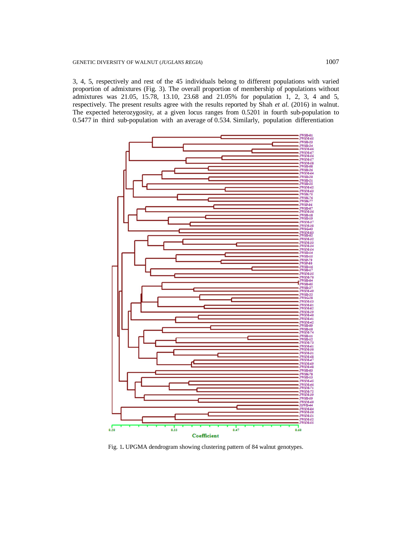3, 4, 5, respectively and rest of the 45 individuals belong to different populations with varied proportion of admixtures (Fig. 3). The overall proportion of membership of populations without admixtures was 21.05, 15.78, 13.10, 23.68 and 21.05% for population 1, 2, 3, 4 and 5, respectively. The present results agree with the results reported by Shah *et al*. (2016) in walnut. The expected heterozygosity, at a given locus ranges from 0.5201 in fourth sub-population to 0.5477 in third sub-population with an average of 0.534. Similarly, population differentiation



Fig. 1**.** UPGMA dendrogram showing clustering pattern of 84 walnut genotypes.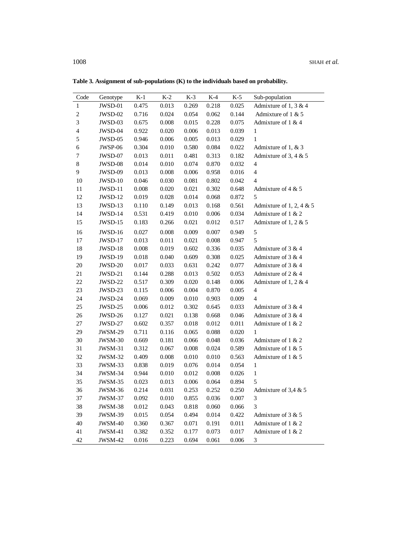| Code                    | Genotype | $K-1$ | $K-2$ | $K-3$ | $K-4$ | $K-5$ | Sub-population           |
|-------------------------|----------|-------|-------|-------|-------|-------|--------------------------|
| $\mathbf{1}$            | JWSD-01  | 0.475 | 0.013 | 0.269 | 0.218 | 0.025 | Admixture of 1, 3 & 4    |
| $\overline{c}$          | JWSD-02  | 0.716 | 0.024 | 0.054 | 0.062 | 0.144 | Admixture of 1 & 5       |
| 3                       | JWSD-03  | 0.675 | 0.008 | 0.015 | 0.228 | 0.075 | Admixture of 1 & 4       |
| $\overline{\mathbf{4}}$ | JWSD-04  | 0.922 | 0.020 | 0.006 | 0.013 | 0.039 | $\mathbf{1}$             |
| 5                       | JWSD-05  | 0.946 | 0.006 | 0.005 | 0.013 | 0.029 | $\mathbf{1}$             |
| 6                       | JWSP-06  | 0.304 | 0.010 | 0.580 | 0.084 | 0.022 | Admixture of 1, & 3      |
| $\tau$                  | JWSD-07  | 0.013 | 0.011 | 0.481 | 0.313 | 0.182 | Admixture of 3, 4 & 5    |
| 8                       | JWSD-08  | 0.014 | 0.010 | 0.074 | 0.870 | 0.032 | $\overline{\mathcal{A}}$ |
| 9                       | JWSD-09  | 0.013 | 0.008 | 0.006 | 0.958 | 0.016 | $\overline{\mathcal{L}}$ |
| 10                      | JWSD-10  | 0.046 | 0.030 | 0.081 | 0.802 | 0.042 | $\overline{4}$           |
| $11\,$                  | JWSD-11  | 0.008 | 0.020 | 0.021 | 0.302 | 0.648 | Admixture of 4 $& 5$     |
| 12                      | JWSD-12  | 0.019 | 0.028 | 0.014 | 0.068 | 0.872 | 5                        |
| 13                      | JWSD-13  | 0.110 | 0.149 | 0.013 | 0.168 | 0.561 | Admixture of 1, 2, 4 & 5 |
| 14                      | JWSD-14  | 0.531 | 0.419 | 0.010 | 0.006 | 0.034 | Admixture of 1 & 2       |
| 15                      | JWSD-15  | 0.183 | 0.266 | 0.021 | 0.012 | 0.517 | Admixture of 1, 2 & 5    |
| 16                      | JWSD-16  | 0.027 | 0.008 | 0.009 | 0.007 | 0.949 | 5                        |
| 17                      | JWSD-17  | 0.013 | 0.011 | 0.021 | 0.008 | 0.947 | 5                        |
| 18                      | JWSD-18  | 0.008 | 0.019 | 0.602 | 0.336 | 0.035 | Admixture of 3 & 4       |
| 19                      | JWSD-19  | 0.018 | 0.040 | 0.609 | 0.308 | 0.025 | Admixture of $3 & 4$     |
| $20\,$                  | JWSD-20  | 0.017 | 0.033 | 0.631 | 0.242 | 0.077 | Admixture of $3 & 4$     |
| 21                      | JWSD-21  | 0.144 | 0.288 | 0.013 | 0.502 | 0.053 | Admixture of $2 & 4$     |
| 22                      | JWSD-22  | 0.517 | 0.309 | 0.020 | 0.148 | 0.006 | Admixture of 1, 2 & 4    |
| 23                      | JWSD-23  | 0.115 | 0.006 | 0.004 | 0.870 | 0.005 | $\overline{\mathcal{A}}$ |
| 24                      | JWSD-24  | 0.069 | 0.009 | 0.010 | 0.903 | 0.009 | $\overline{4}$           |
| 25                      | JWSD-25  | 0.006 | 0.012 | 0.302 | 0.645 | 0.033 | Admixture of $3 & 4$     |
| 26                      | JWSD-26  | 0.127 | 0.021 | 0.138 | 0.668 | 0.046 | Admixture of $3 & 4$     |
| 27                      | JWSD-27  | 0.602 | 0.357 | 0.018 | 0.012 | 0.011 | Admixture of $1 & 2$     |
| 29                      | JWSM-29  | 0.711 | 0.116 | 0.065 | 0.088 | 0.020 | $\mathbf{1}$             |
| 30                      | JWSM-30  | 0.669 | 0.181 | 0.066 | 0.048 | 0.036 | Admixture of 1 & 2       |
| 31                      | JWSM-31  | 0.312 | 0.067 | 0.008 | 0.024 | 0.589 | Admixture of 1 & 5       |
| 32                      | JWSM-32  | 0.409 | 0.008 | 0.010 | 0.010 | 0.563 | Admixture of $1 & 5$     |
| 33                      | JWSM-33  | 0.838 | 0.019 | 0.076 | 0.014 | 0.054 | $\mathbf{1}$             |
| 34                      | JWSM-34  | 0.944 | 0.010 | 0.012 | 0.008 | 0.026 | $\mathbf{1}$             |
| 35                      | JWSM-35  | 0.023 | 0.013 | 0.006 | 0.064 | 0.894 | 5                        |
| 36                      | JWSM-36  | 0.214 | 0.031 | 0.253 | 0.252 | 0.250 | Admixture of 3,4 $\&$ 5  |
| 37                      | JWSM-37  | 0.092 | 0.010 | 0.855 | 0.036 | 0.007 | 3                        |
| 38                      | JWSM-38  | 0.012 | 0.043 | 0.818 | 0.060 | 0.066 | 3                        |
| 39                      | JWSM-39  | 0.015 | 0.054 | 0.494 | 0.014 | 0.422 | Admixture of $3 & 5$     |
| 40                      | JWSM-40  | 0.360 | 0.367 | 0.071 | 0.191 | 0.011 | Admixture of 1 & 2       |
| 41                      | JWSM-41  | 0.382 | 0.352 | 0.177 | 0.073 | 0.017 | Admixture of $1 & 2$     |
| 42                      | JWSM-42  | 0.016 | 0.223 | 0.694 | 0.061 | 0.006 | $\sqrt{3}$               |

**Table 3. Assignment of sub-populations (K) to the individuals based on probability.**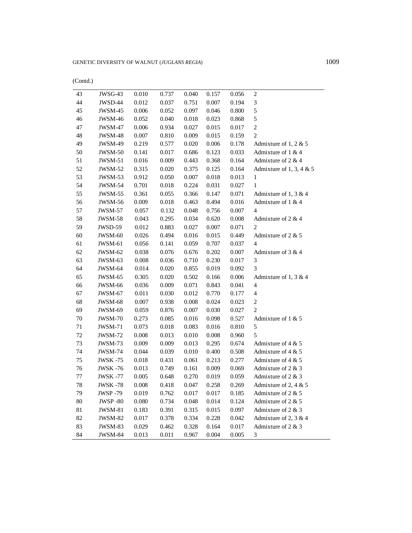| (Contd.) |
|----------|
|----------|

| 43<br>JWSG-43<br>$\boldsymbol{2}$<br>0.010<br>0.737<br>0.040<br>0.056<br>0.157<br>44<br>$\ensuremath{\mathfrak{Z}}$<br>0.012<br>0.007<br>JWSD-44<br>0.037<br>0.751<br>0.194<br>5<br>45<br>0.046<br>JWSM-45<br>0.006<br>0.052<br>0.097<br>0.800<br>5<br>46<br>0.018<br>0.023<br>JWSM-46<br>0.052<br>0.040<br>0.868<br>$\boldsymbol{2}$<br>47<br>0.006<br>0.027<br>0.015<br>JWSM-47<br>0.934<br>0.017<br>48<br>$\mathfrak{2}$<br>0.007<br>0.009<br>0.015<br>JWSM-48<br>0.810<br>0.159<br>49<br>0.219<br>0.577<br>0.020<br>0.006<br>JWSM-49<br>0.178<br>Admixture of 1, 2 $& 5$<br>50<br>JWSM-50<br>0.017<br>0.686<br>0.123<br>0.033<br>Admixture of 1 & 4<br>0.141<br>51<br>0.016<br>0.443<br>0.368<br>0.164<br>Admixture of $2 & 4$<br>JWSM-51<br>0.009<br>52<br>0.315<br>0.375<br>0.125<br>Admixture of 1, 3, 4 $&$ 5<br>JWSM-52<br>0.020<br>0.164<br>53<br>JWSM-53<br>0.912<br>0.050<br>0.007<br>0.018<br>0.013<br>1<br>54<br>0.224<br>JWSM-54<br>0.701<br>0.018<br>0.031<br>0.027<br>1<br>55<br>0.361<br>0.366<br>0.147<br>JWSM-55<br>0.055<br>0.071<br>Admixture of 1, 3 & 4<br>56<br>0.009<br>0.018<br>0.463<br>0.494<br>0.016<br>Admixture of 1 & 4<br>JWSM-56<br>57<br>0.057<br>0.048<br>0.756<br>0.007<br>JWSM-57<br>0.132<br>4<br>58<br>0.043<br>0.295<br>0.034<br>0.620<br>0.008<br>Admixture of $2 & 4$<br>JWSM-58<br>59<br>JWSD-59<br>0.012<br>0.883<br>0.027<br>0.007<br>0.071<br>2<br>60<br>0.026<br>0.494<br>0.016<br>0.015<br>0.449<br>Admixture of $2 & 5$<br>JWSM-60<br>$\overline{4}$<br>61<br>0.707<br>JWSM-61<br>0.056<br>0.141<br>0.059<br>0.037<br>62<br>0.676<br>0.202<br>JWSM-62<br>0.038<br>0.076<br>0.007<br>Admixture of $3 & 4$<br>$\sqrt{3}$<br>63<br>0.008<br>0.710<br>0.230<br>0.017<br>JWSM-63<br>0.036<br>3<br>64<br>0.014<br>0.020<br>0.855<br>0.019<br>JWSM-64<br>0.092<br>65<br>0.305<br>0.502<br>0.006<br>JWSM-65<br>0.020<br>0.166<br>Admixture of 1, 3 & 4<br>$\overline{\mathcal{L}}$<br>66<br>0.036<br>0.071<br>0.843<br>0.041<br>JWSM-66<br>0.009<br>$\overline{\mathcal{L}}$<br>67<br>0.011<br>0.012<br>0.770<br>JWSM-67<br>0.030<br>0.177<br>68<br>0.007<br>0.008<br>0.024<br>$\overline{c}$<br>JWSM-68<br>0.938<br>0.023<br>69<br>0.059<br>0.876<br>0.007<br>0.030<br>$\overline{c}$<br>JWSM-69<br>0.027<br>70<br>0.016<br>JWSM-70<br>0.273<br>0.085<br>0.098<br>0.527<br>Admixture of $1 & 5$<br>71<br>5<br>JWSM-71<br>0.073<br>0.018<br>0.083<br>0.016<br>0.810<br>5<br>72<br>0.008<br>0.010<br>JWSM-72<br>0.013<br>0.008<br>0.960<br>73<br>0.009<br>0.013<br>0.295<br>0.674<br>JWSM-73<br>0.009<br>Admixture of 4 $& 5$<br>74<br>0.010<br>JWSM-74<br>0.044<br>0.039<br>0.400<br>0.508<br>Admixture of $4 & 5$<br>75<br>0.018<br>0.061<br>0.213<br>0.277<br><b>JWSK -75</b><br>0.431<br>Admixture of 4 $& 5$<br>76<br>0.013<br>0.749<br>0.161<br>0.009<br>0.069<br>Admixture of $2 & 3$<br><b>JWSK-76</b><br>77<br>0.005<br>0.270<br>0.019<br>0.059<br><b>JWSK -77</b><br>0.648<br>Admixture of $2 & 3$<br>78<br>0.008<br>0.047<br>0.258<br>0.418<br>0.269<br>Admixture of 2, 4 $& 5$<br>JWSK -78<br>0.017<br>79<br>0.019<br>0.762<br>0.017<br>0.185<br>Admixture of 2 & 5<br><b>JWSP -79</b><br>80<br>0.048<br>0.080<br>0.734<br>0.014<br>0.124<br>Admixture of 2 & 5<br><b>JWSP-80</b><br>81<br>0.183<br>0.315<br>0.015<br>0.097<br>Admixture of 2 & 3<br>JWSM-81<br>0.391<br>82<br>0.017<br>0.334<br>0.228<br>0.042<br>Admixture of 2, 3 & 4<br><b>JWSM-82</b><br>0.378<br>83<br>JWSM-83<br>0.029<br>0.462<br>0.328<br>0.164<br>0.017<br>Admixture of $2 & 3$<br>84<br>$\mathfrak{Z}$<br>JWSM-84<br>0.013<br>0.011<br>0.967<br>0.004<br>0.005 |  |  |  |  |
|-------------------------------------------------------------------------------------------------------------------------------------------------------------------------------------------------------------------------------------------------------------------------------------------------------------------------------------------------------------------------------------------------------------------------------------------------------------------------------------------------------------------------------------------------------------------------------------------------------------------------------------------------------------------------------------------------------------------------------------------------------------------------------------------------------------------------------------------------------------------------------------------------------------------------------------------------------------------------------------------------------------------------------------------------------------------------------------------------------------------------------------------------------------------------------------------------------------------------------------------------------------------------------------------------------------------------------------------------------------------------------------------------------------------------------------------------------------------------------------------------------------------------------------------------------------------------------------------------------------------------------------------------------------------------------------------------------------------------------------------------------------------------------------------------------------------------------------------------------------------------------------------------------------------------------------------------------------------------------------------------------------------------------------------------------------------------------------------------------------------------------------------------------------------------------------------------------------------------------------------------------------------------------------------------------------------------------------------------------------------------------------------------------------------------------------------------------------------------------------------------------------------------------------------------------------------------------------------------------------------------------------------------------------------------------------------------------------------------------------------------------------------------------------------------------------------------------------------------------------------------------------------------------------------------------------------------------------------------------------------------------------------------------------------------------------------------------------------------------------------------------------------------------------------------------------------------------------------------------------------------------------------------------------------------------------------------------------------------------------------------------------------------------------------------------------------------------------------------------------------------------------------------------------------------------------------------------------------------|--|--|--|--|
|                                                                                                                                                                                                                                                                                                                                                                                                                                                                                                                                                                                                                                                                                                                                                                                                                                                                                                                                                                                                                                                                                                                                                                                                                                                                                                                                                                                                                                                                                                                                                                                                                                                                                                                                                                                                                                                                                                                                                                                                                                                                                                                                                                                                                                                                                                                                                                                                                                                                                                                                                                                                                                                                                                                                                                                                                                                                                                                                                                                                                                                                                                                                                                                                                                                                                                                                                                                                                                                                                                                                                                                                 |  |  |  |  |
|                                                                                                                                                                                                                                                                                                                                                                                                                                                                                                                                                                                                                                                                                                                                                                                                                                                                                                                                                                                                                                                                                                                                                                                                                                                                                                                                                                                                                                                                                                                                                                                                                                                                                                                                                                                                                                                                                                                                                                                                                                                                                                                                                                                                                                                                                                                                                                                                                                                                                                                                                                                                                                                                                                                                                                                                                                                                                                                                                                                                                                                                                                                                                                                                                                                                                                                                                                                                                                                                                                                                                                                                 |  |  |  |  |
|                                                                                                                                                                                                                                                                                                                                                                                                                                                                                                                                                                                                                                                                                                                                                                                                                                                                                                                                                                                                                                                                                                                                                                                                                                                                                                                                                                                                                                                                                                                                                                                                                                                                                                                                                                                                                                                                                                                                                                                                                                                                                                                                                                                                                                                                                                                                                                                                                                                                                                                                                                                                                                                                                                                                                                                                                                                                                                                                                                                                                                                                                                                                                                                                                                                                                                                                                                                                                                                                                                                                                                                                 |  |  |  |  |
|                                                                                                                                                                                                                                                                                                                                                                                                                                                                                                                                                                                                                                                                                                                                                                                                                                                                                                                                                                                                                                                                                                                                                                                                                                                                                                                                                                                                                                                                                                                                                                                                                                                                                                                                                                                                                                                                                                                                                                                                                                                                                                                                                                                                                                                                                                                                                                                                                                                                                                                                                                                                                                                                                                                                                                                                                                                                                                                                                                                                                                                                                                                                                                                                                                                                                                                                                                                                                                                                                                                                                                                                 |  |  |  |  |
|                                                                                                                                                                                                                                                                                                                                                                                                                                                                                                                                                                                                                                                                                                                                                                                                                                                                                                                                                                                                                                                                                                                                                                                                                                                                                                                                                                                                                                                                                                                                                                                                                                                                                                                                                                                                                                                                                                                                                                                                                                                                                                                                                                                                                                                                                                                                                                                                                                                                                                                                                                                                                                                                                                                                                                                                                                                                                                                                                                                                                                                                                                                                                                                                                                                                                                                                                                                                                                                                                                                                                                                                 |  |  |  |  |
|                                                                                                                                                                                                                                                                                                                                                                                                                                                                                                                                                                                                                                                                                                                                                                                                                                                                                                                                                                                                                                                                                                                                                                                                                                                                                                                                                                                                                                                                                                                                                                                                                                                                                                                                                                                                                                                                                                                                                                                                                                                                                                                                                                                                                                                                                                                                                                                                                                                                                                                                                                                                                                                                                                                                                                                                                                                                                                                                                                                                                                                                                                                                                                                                                                                                                                                                                                                                                                                                                                                                                                                                 |  |  |  |  |
|                                                                                                                                                                                                                                                                                                                                                                                                                                                                                                                                                                                                                                                                                                                                                                                                                                                                                                                                                                                                                                                                                                                                                                                                                                                                                                                                                                                                                                                                                                                                                                                                                                                                                                                                                                                                                                                                                                                                                                                                                                                                                                                                                                                                                                                                                                                                                                                                                                                                                                                                                                                                                                                                                                                                                                                                                                                                                                                                                                                                                                                                                                                                                                                                                                                                                                                                                                                                                                                                                                                                                                                                 |  |  |  |  |
|                                                                                                                                                                                                                                                                                                                                                                                                                                                                                                                                                                                                                                                                                                                                                                                                                                                                                                                                                                                                                                                                                                                                                                                                                                                                                                                                                                                                                                                                                                                                                                                                                                                                                                                                                                                                                                                                                                                                                                                                                                                                                                                                                                                                                                                                                                                                                                                                                                                                                                                                                                                                                                                                                                                                                                                                                                                                                                                                                                                                                                                                                                                                                                                                                                                                                                                                                                                                                                                                                                                                                                                                 |  |  |  |  |
|                                                                                                                                                                                                                                                                                                                                                                                                                                                                                                                                                                                                                                                                                                                                                                                                                                                                                                                                                                                                                                                                                                                                                                                                                                                                                                                                                                                                                                                                                                                                                                                                                                                                                                                                                                                                                                                                                                                                                                                                                                                                                                                                                                                                                                                                                                                                                                                                                                                                                                                                                                                                                                                                                                                                                                                                                                                                                                                                                                                                                                                                                                                                                                                                                                                                                                                                                                                                                                                                                                                                                                                                 |  |  |  |  |
|                                                                                                                                                                                                                                                                                                                                                                                                                                                                                                                                                                                                                                                                                                                                                                                                                                                                                                                                                                                                                                                                                                                                                                                                                                                                                                                                                                                                                                                                                                                                                                                                                                                                                                                                                                                                                                                                                                                                                                                                                                                                                                                                                                                                                                                                                                                                                                                                                                                                                                                                                                                                                                                                                                                                                                                                                                                                                                                                                                                                                                                                                                                                                                                                                                                                                                                                                                                                                                                                                                                                                                                                 |  |  |  |  |
|                                                                                                                                                                                                                                                                                                                                                                                                                                                                                                                                                                                                                                                                                                                                                                                                                                                                                                                                                                                                                                                                                                                                                                                                                                                                                                                                                                                                                                                                                                                                                                                                                                                                                                                                                                                                                                                                                                                                                                                                                                                                                                                                                                                                                                                                                                                                                                                                                                                                                                                                                                                                                                                                                                                                                                                                                                                                                                                                                                                                                                                                                                                                                                                                                                                                                                                                                                                                                                                                                                                                                                                                 |  |  |  |  |
|                                                                                                                                                                                                                                                                                                                                                                                                                                                                                                                                                                                                                                                                                                                                                                                                                                                                                                                                                                                                                                                                                                                                                                                                                                                                                                                                                                                                                                                                                                                                                                                                                                                                                                                                                                                                                                                                                                                                                                                                                                                                                                                                                                                                                                                                                                                                                                                                                                                                                                                                                                                                                                                                                                                                                                                                                                                                                                                                                                                                                                                                                                                                                                                                                                                                                                                                                                                                                                                                                                                                                                                                 |  |  |  |  |
|                                                                                                                                                                                                                                                                                                                                                                                                                                                                                                                                                                                                                                                                                                                                                                                                                                                                                                                                                                                                                                                                                                                                                                                                                                                                                                                                                                                                                                                                                                                                                                                                                                                                                                                                                                                                                                                                                                                                                                                                                                                                                                                                                                                                                                                                                                                                                                                                                                                                                                                                                                                                                                                                                                                                                                                                                                                                                                                                                                                                                                                                                                                                                                                                                                                                                                                                                                                                                                                                                                                                                                                                 |  |  |  |  |
|                                                                                                                                                                                                                                                                                                                                                                                                                                                                                                                                                                                                                                                                                                                                                                                                                                                                                                                                                                                                                                                                                                                                                                                                                                                                                                                                                                                                                                                                                                                                                                                                                                                                                                                                                                                                                                                                                                                                                                                                                                                                                                                                                                                                                                                                                                                                                                                                                                                                                                                                                                                                                                                                                                                                                                                                                                                                                                                                                                                                                                                                                                                                                                                                                                                                                                                                                                                                                                                                                                                                                                                                 |  |  |  |  |
|                                                                                                                                                                                                                                                                                                                                                                                                                                                                                                                                                                                                                                                                                                                                                                                                                                                                                                                                                                                                                                                                                                                                                                                                                                                                                                                                                                                                                                                                                                                                                                                                                                                                                                                                                                                                                                                                                                                                                                                                                                                                                                                                                                                                                                                                                                                                                                                                                                                                                                                                                                                                                                                                                                                                                                                                                                                                                                                                                                                                                                                                                                                                                                                                                                                                                                                                                                                                                                                                                                                                                                                                 |  |  |  |  |
|                                                                                                                                                                                                                                                                                                                                                                                                                                                                                                                                                                                                                                                                                                                                                                                                                                                                                                                                                                                                                                                                                                                                                                                                                                                                                                                                                                                                                                                                                                                                                                                                                                                                                                                                                                                                                                                                                                                                                                                                                                                                                                                                                                                                                                                                                                                                                                                                                                                                                                                                                                                                                                                                                                                                                                                                                                                                                                                                                                                                                                                                                                                                                                                                                                                                                                                                                                                                                                                                                                                                                                                                 |  |  |  |  |
|                                                                                                                                                                                                                                                                                                                                                                                                                                                                                                                                                                                                                                                                                                                                                                                                                                                                                                                                                                                                                                                                                                                                                                                                                                                                                                                                                                                                                                                                                                                                                                                                                                                                                                                                                                                                                                                                                                                                                                                                                                                                                                                                                                                                                                                                                                                                                                                                                                                                                                                                                                                                                                                                                                                                                                                                                                                                                                                                                                                                                                                                                                                                                                                                                                                                                                                                                                                                                                                                                                                                                                                                 |  |  |  |  |
|                                                                                                                                                                                                                                                                                                                                                                                                                                                                                                                                                                                                                                                                                                                                                                                                                                                                                                                                                                                                                                                                                                                                                                                                                                                                                                                                                                                                                                                                                                                                                                                                                                                                                                                                                                                                                                                                                                                                                                                                                                                                                                                                                                                                                                                                                                                                                                                                                                                                                                                                                                                                                                                                                                                                                                                                                                                                                                                                                                                                                                                                                                                                                                                                                                                                                                                                                                                                                                                                                                                                                                                                 |  |  |  |  |
|                                                                                                                                                                                                                                                                                                                                                                                                                                                                                                                                                                                                                                                                                                                                                                                                                                                                                                                                                                                                                                                                                                                                                                                                                                                                                                                                                                                                                                                                                                                                                                                                                                                                                                                                                                                                                                                                                                                                                                                                                                                                                                                                                                                                                                                                                                                                                                                                                                                                                                                                                                                                                                                                                                                                                                                                                                                                                                                                                                                                                                                                                                                                                                                                                                                                                                                                                                                                                                                                                                                                                                                                 |  |  |  |  |
|                                                                                                                                                                                                                                                                                                                                                                                                                                                                                                                                                                                                                                                                                                                                                                                                                                                                                                                                                                                                                                                                                                                                                                                                                                                                                                                                                                                                                                                                                                                                                                                                                                                                                                                                                                                                                                                                                                                                                                                                                                                                                                                                                                                                                                                                                                                                                                                                                                                                                                                                                                                                                                                                                                                                                                                                                                                                                                                                                                                                                                                                                                                                                                                                                                                                                                                                                                                                                                                                                                                                                                                                 |  |  |  |  |
|                                                                                                                                                                                                                                                                                                                                                                                                                                                                                                                                                                                                                                                                                                                                                                                                                                                                                                                                                                                                                                                                                                                                                                                                                                                                                                                                                                                                                                                                                                                                                                                                                                                                                                                                                                                                                                                                                                                                                                                                                                                                                                                                                                                                                                                                                                                                                                                                                                                                                                                                                                                                                                                                                                                                                                                                                                                                                                                                                                                                                                                                                                                                                                                                                                                                                                                                                                                                                                                                                                                                                                                                 |  |  |  |  |
|                                                                                                                                                                                                                                                                                                                                                                                                                                                                                                                                                                                                                                                                                                                                                                                                                                                                                                                                                                                                                                                                                                                                                                                                                                                                                                                                                                                                                                                                                                                                                                                                                                                                                                                                                                                                                                                                                                                                                                                                                                                                                                                                                                                                                                                                                                                                                                                                                                                                                                                                                                                                                                                                                                                                                                                                                                                                                                                                                                                                                                                                                                                                                                                                                                                                                                                                                                                                                                                                                                                                                                                                 |  |  |  |  |
|                                                                                                                                                                                                                                                                                                                                                                                                                                                                                                                                                                                                                                                                                                                                                                                                                                                                                                                                                                                                                                                                                                                                                                                                                                                                                                                                                                                                                                                                                                                                                                                                                                                                                                                                                                                                                                                                                                                                                                                                                                                                                                                                                                                                                                                                                                                                                                                                                                                                                                                                                                                                                                                                                                                                                                                                                                                                                                                                                                                                                                                                                                                                                                                                                                                                                                                                                                                                                                                                                                                                                                                                 |  |  |  |  |
|                                                                                                                                                                                                                                                                                                                                                                                                                                                                                                                                                                                                                                                                                                                                                                                                                                                                                                                                                                                                                                                                                                                                                                                                                                                                                                                                                                                                                                                                                                                                                                                                                                                                                                                                                                                                                                                                                                                                                                                                                                                                                                                                                                                                                                                                                                                                                                                                                                                                                                                                                                                                                                                                                                                                                                                                                                                                                                                                                                                                                                                                                                                                                                                                                                                                                                                                                                                                                                                                                                                                                                                                 |  |  |  |  |
|                                                                                                                                                                                                                                                                                                                                                                                                                                                                                                                                                                                                                                                                                                                                                                                                                                                                                                                                                                                                                                                                                                                                                                                                                                                                                                                                                                                                                                                                                                                                                                                                                                                                                                                                                                                                                                                                                                                                                                                                                                                                                                                                                                                                                                                                                                                                                                                                                                                                                                                                                                                                                                                                                                                                                                                                                                                                                                                                                                                                                                                                                                                                                                                                                                                                                                                                                                                                                                                                                                                                                                                                 |  |  |  |  |
|                                                                                                                                                                                                                                                                                                                                                                                                                                                                                                                                                                                                                                                                                                                                                                                                                                                                                                                                                                                                                                                                                                                                                                                                                                                                                                                                                                                                                                                                                                                                                                                                                                                                                                                                                                                                                                                                                                                                                                                                                                                                                                                                                                                                                                                                                                                                                                                                                                                                                                                                                                                                                                                                                                                                                                                                                                                                                                                                                                                                                                                                                                                                                                                                                                                                                                                                                                                                                                                                                                                                                                                                 |  |  |  |  |
|                                                                                                                                                                                                                                                                                                                                                                                                                                                                                                                                                                                                                                                                                                                                                                                                                                                                                                                                                                                                                                                                                                                                                                                                                                                                                                                                                                                                                                                                                                                                                                                                                                                                                                                                                                                                                                                                                                                                                                                                                                                                                                                                                                                                                                                                                                                                                                                                                                                                                                                                                                                                                                                                                                                                                                                                                                                                                                                                                                                                                                                                                                                                                                                                                                                                                                                                                                                                                                                                                                                                                                                                 |  |  |  |  |
|                                                                                                                                                                                                                                                                                                                                                                                                                                                                                                                                                                                                                                                                                                                                                                                                                                                                                                                                                                                                                                                                                                                                                                                                                                                                                                                                                                                                                                                                                                                                                                                                                                                                                                                                                                                                                                                                                                                                                                                                                                                                                                                                                                                                                                                                                                                                                                                                                                                                                                                                                                                                                                                                                                                                                                                                                                                                                                                                                                                                                                                                                                                                                                                                                                                                                                                                                                                                                                                                                                                                                                                                 |  |  |  |  |
|                                                                                                                                                                                                                                                                                                                                                                                                                                                                                                                                                                                                                                                                                                                                                                                                                                                                                                                                                                                                                                                                                                                                                                                                                                                                                                                                                                                                                                                                                                                                                                                                                                                                                                                                                                                                                                                                                                                                                                                                                                                                                                                                                                                                                                                                                                                                                                                                                                                                                                                                                                                                                                                                                                                                                                                                                                                                                                                                                                                                                                                                                                                                                                                                                                                                                                                                                                                                                                                                                                                                                                                                 |  |  |  |  |
|                                                                                                                                                                                                                                                                                                                                                                                                                                                                                                                                                                                                                                                                                                                                                                                                                                                                                                                                                                                                                                                                                                                                                                                                                                                                                                                                                                                                                                                                                                                                                                                                                                                                                                                                                                                                                                                                                                                                                                                                                                                                                                                                                                                                                                                                                                                                                                                                                                                                                                                                                                                                                                                                                                                                                                                                                                                                                                                                                                                                                                                                                                                                                                                                                                                                                                                                                                                                                                                                                                                                                                                                 |  |  |  |  |
|                                                                                                                                                                                                                                                                                                                                                                                                                                                                                                                                                                                                                                                                                                                                                                                                                                                                                                                                                                                                                                                                                                                                                                                                                                                                                                                                                                                                                                                                                                                                                                                                                                                                                                                                                                                                                                                                                                                                                                                                                                                                                                                                                                                                                                                                                                                                                                                                                                                                                                                                                                                                                                                                                                                                                                                                                                                                                                                                                                                                                                                                                                                                                                                                                                                                                                                                                                                                                                                                                                                                                                                                 |  |  |  |  |
|                                                                                                                                                                                                                                                                                                                                                                                                                                                                                                                                                                                                                                                                                                                                                                                                                                                                                                                                                                                                                                                                                                                                                                                                                                                                                                                                                                                                                                                                                                                                                                                                                                                                                                                                                                                                                                                                                                                                                                                                                                                                                                                                                                                                                                                                                                                                                                                                                                                                                                                                                                                                                                                                                                                                                                                                                                                                                                                                                                                                                                                                                                                                                                                                                                                                                                                                                                                                                                                                                                                                                                                                 |  |  |  |  |
|                                                                                                                                                                                                                                                                                                                                                                                                                                                                                                                                                                                                                                                                                                                                                                                                                                                                                                                                                                                                                                                                                                                                                                                                                                                                                                                                                                                                                                                                                                                                                                                                                                                                                                                                                                                                                                                                                                                                                                                                                                                                                                                                                                                                                                                                                                                                                                                                                                                                                                                                                                                                                                                                                                                                                                                                                                                                                                                                                                                                                                                                                                                                                                                                                                                                                                                                                                                                                                                                                                                                                                                                 |  |  |  |  |
|                                                                                                                                                                                                                                                                                                                                                                                                                                                                                                                                                                                                                                                                                                                                                                                                                                                                                                                                                                                                                                                                                                                                                                                                                                                                                                                                                                                                                                                                                                                                                                                                                                                                                                                                                                                                                                                                                                                                                                                                                                                                                                                                                                                                                                                                                                                                                                                                                                                                                                                                                                                                                                                                                                                                                                                                                                                                                                                                                                                                                                                                                                                                                                                                                                                                                                                                                                                                                                                                                                                                                                                                 |  |  |  |  |
|                                                                                                                                                                                                                                                                                                                                                                                                                                                                                                                                                                                                                                                                                                                                                                                                                                                                                                                                                                                                                                                                                                                                                                                                                                                                                                                                                                                                                                                                                                                                                                                                                                                                                                                                                                                                                                                                                                                                                                                                                                                                                                                                                                                                                                                                                                                                                                                                                                                                                                                                                                                                                                                                                                                                                                                                                                                                                                                                                                                                                                                                                                                                                                                                                                                                                                                                                                                                                                                                                                                                                                                                 |  |  |  |  |
|                                                                                                                                                                                                                                                                                                                                                                                                                                                                                                                                                                                                                                                                                                                                                                                                                                                                                                                                                                                                                                                                                                                                                                                                                                                                                                                                                                                                                                                                                                                                                                                                                                                                                                                                                                                                                                                                                                                                                                                                                                                                                                                                                                                                                                                                                                                                                                                                                                                                                                                                                                                                                                                                                                                                                                                                                                                                                                                                                                                                                                                                                                                                                                                                                                                                                                                                                                                                                                                                                                                                                                                                 |  |  |  |  |
|                                                                                                                                                                                                                                                                                                                                                                                                                                                                                                                                                                                                                                                                                                                                                                                                                                                                                                                                                                                                                                                                                                                                                                                                                                                                                                                                                                                                                                                                                                                                                                                                                                                                                                                                                                                                                                                                                                                                                                                                                                                                                                                                                                                                                                                                                                                                                                                                                                                                                                                                                                                                                                                                                                                                                                                                                                                                                                                                                                                                                                                                                                                                                                                                                                                                                                                                                                                                                                                                                                                                                                                                 |  |  |  |  |
|                                                                                                                                                                                                                                                                                                                                                                                                                                                                                                                                                                                                                                                                                                                                                                                                                                                                                                                                                                                                                                                                                                                                                                                                                                                                                                                                                                                                                                                                                                                                                                                                                                                                                                                                                                                                                                                                                                                                                                                                                                                                                                                                                                                                                                                                                                                                                                                                                                                                                                                                                                                                                                                                                                                                                                                                                                                                                                                                                                                                                                                                                                                                                                                                                                                                                                                                                                                                                                                                                                                                                                                                 |  |  |  |  |
|                                                                                                                                                                                                                                                                                                                                                                                                                                                                                                                                                                                                                                                                                                                                                                                                                                                                                                                                                                                                                                                                                                                                                                                                                                                                                                                                                                                                                                                                                                                                                                                                                                                                                                                                                                                                                                                                                                                                                                                                                                                                                                                                                                                                                                                                                                                                                                                                                                                                                                                                                                                                                                                                                                                                                                                                                                                                                                                                                                                                                                                                                                                                                                                                                                                                                                                                                                                                                                                                                                                                                                                                 |  |  |  |  |
|                                                                                                                                                                                                                                                                                                                                                                                                                                                                                                                                                                                                                                                                                                                                                                                                                                                                                                                                                                                                                                                                                                                                                                                                                                                                                                                                                                                                                                                                                                                                                                                                                                                                                                                                                                                                                                                                                                                                                                                                                                                                                                                                                                                                                                                                                                                                                                                                                                                                                                                                                                                                                                                                                                                                                                                                                                                                                                                                                                                                                                                                                                                                                                                                                                                                                                                                                                                                                                                                                                                                                                                                 |  |  |  |  |
|                                                                                                                                                                                                                                                                                                                                                                                                                                                                                                                                                                                                                                                                                                                                                                                                                                                                                                                                                                                                                                                                                                                                                                                                                                                                                                                                                                                                                                                                                                                                                                                                                                                                                                                                                                                                                                                                                                                                                                                                                                                                                                                                                                                                                                                                                                                                                                                                                                                                                                                                                                                                                                                                                                                                                                                                                                                                                                                                                                                                                                                                                                                                                                                                                                                                                                                                                                                                                                                                                                                                                                                                 |  |  |  |  |
|                                                                                                                                                                                                                                                                                                                                                                                                                                                                                                                                                                                                                                                                                                                                                                                                                                                                                                                                                                                                                                                                                                                                                                                                                                                                                                                                                                                                                                                                                                                                                                                                                                                                                                                                                                                                                                                                                                                                                                                                                                                                                                                                                                                                                                                                                                                                                                                                                                                                                                                                                                                                                                                                                                                                                                                                                                                                                                                                                                                                                                                                                                                                                                                                                                                                                                                                                                                                                                                                                                                                                                                                 |  |  |  |  |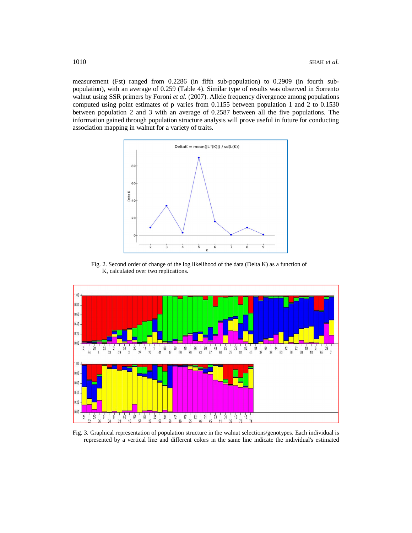measurement (Fst) ranged from 0.2286 (in fifth sub-population) to 0.2909 (in fourth subpopulation), with an average of 0.259 (Table 4). Similar type of results was observed in Sorrento walnut using SSR primers by Foroni *et al*. (2007). Allele frequency divergence among populations computed using point estimates of p varies from 0.1155 between population 1 and 2 to 0.1530 between population 2 and 3 with an average of 0.2587 between all the five populations. The information gained through population structure analysis will prove useful in future for conducting association mapping in walnut for a variety of traits.



Fig. 2. Second order of change of the log likelihood of the data (Delta K) as a function of K, calculated over two replications.



Fig. 3. Graphical representation of population structure in the walnut selections/genotypes. Each individual is represented by a vertical line and different colors in the same line indicate the individual's estimated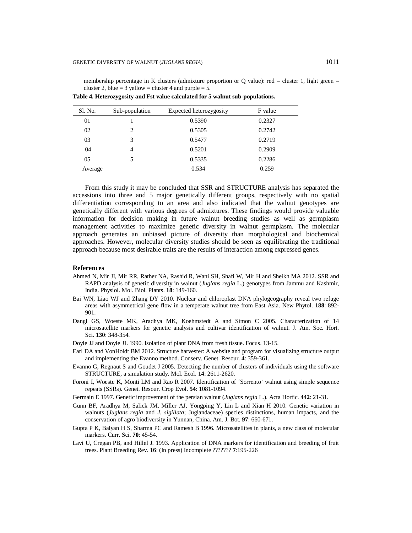membership percentage in K clusters (admixture proportion or Q value): red = cluster 1, light green = cluster 2, blue = 3 yellow = cluster 4 and purple =  $\overline{5}$ .

| Sl. No. | Sub-population              | Expected heterozygosity | F value |
|---------|-----------------------------|-------------------------|---------|
| 01      |                             | 0.5390                  | 0.2327  |
| 02      | $\mathcal{D}_{\mathcal{A}}$ | 0.5305                  | 0.2742  |
| 03      | 3                           | 0.5477                  | 0.2719  |
| 04      | 4                           | 0.5201                  | 0.2909  |
| 05      |                             | 0.5335                  | 0.2286  |
| Average |                             | 0.534                   | 0.259   |

**Table 4. Heterozygosity and Fst value calculated for 5 walnut sub-populations.**

From this study it may be concluded that SSR and STRUCTURE analysis has separated the accessions into three and 5 major genetically different groups, respectively with no spatial differentiation corresponding to an area and also indicated that the walnut genotypes are genetically different with various degrees of admixtures. These findings would provide valuable information for decision making in future walnut breeding studies as well as germplasm management activities to maximize genetic diversity in walnut germplasm. The molecular approach generates an unbiased picture of diversity than morphological and biochemical approaches. However, molecular diversity studies should be seen as equilibrating the traditional approach because most desirable traits are the results of interaction among expressed genes.

## **References**

- Ahmed N, Mir JI, Mir RR, Rather NA, Rashid R, Wani SH, Shafi W, Mir H and Sheikh MA 2012. SSR and RAPD analysis of genetic diversity in walnut (*Juglans regia* L.) genotypes from Jammu and Kashmir, India. Physiol. Mol. Biol. Plants. **18**: 149-160.
- Bai WN, Liao WJ and Zhang DY 2010. Nuclear and chloroplast DNA phylogeography reveal two refuge areas with asymmetrical gene flow in a temperate walnut tree from East Asia. New Phytol. **188**: 892- 901.
- Dangl GS, Woeste MK, Aradhya MK, Koehmstedt A and Simon C 2005. Characterization of 14 microsatellite markers for genetic analysis and cultivar identification of walnut. J. Am. Soc. Hort. Sci. **130**: 348-354.
- Doyle JJ and Doyle JL 1990. Isolation of plant DNA from fresh tissue. Focus. 13-15.
- Earl DA and VonHoldt BM 2012. Structure harvester: A website and program for visualizing structure output and implementing the Evanno method. Conserv. Genet. Resour. **4**: 359-361.
- Evanno G, Regnaut S and Goudet J 2005. Detecting the number of clusters of individuals using the software STRUCTURE, a simulation study. Mol. Ecol. **14**: 2611-2620.
- Foroni I, Woeste K, Monti LM and Rao R 2007. Identification of 'Sorrento' walnut using simple sequence repeats (SSRs). Genet. Resour. Crop Evol. **54**: 1081-1094.
- Germain E 1997. Genetic improvement of the persian walnut (*Juglans regia* L.). Acta Hortic. **442**: 21-31.
- Gunn BF, Aradhya M, Salick JM, Miller AJ, Yongping Y, Lin L and Xian H 2010. Genetic variation in walnuts (*Juglans regia* and *J. sigillata*; Juglandaceae) species distinctions, human impacts, and the conservation of agro biodiversity in Yunnan, China. Am. J. Bot*.* **97**: 660-671.
- Gupta P K, Balyan H S, Sharma PC and Ramesh B 1996. Microsatellites in plants, a new class of molecular markers. Curr. Sci. **70**: 45-54.
- Lavi U, Cregan PB, and Hillel J. 1993. Application of DNA markers for identification and breeding of fruit trees. Plant Breeding Rev. **16**: (In press) Incomplete ??????? **7**:195-226